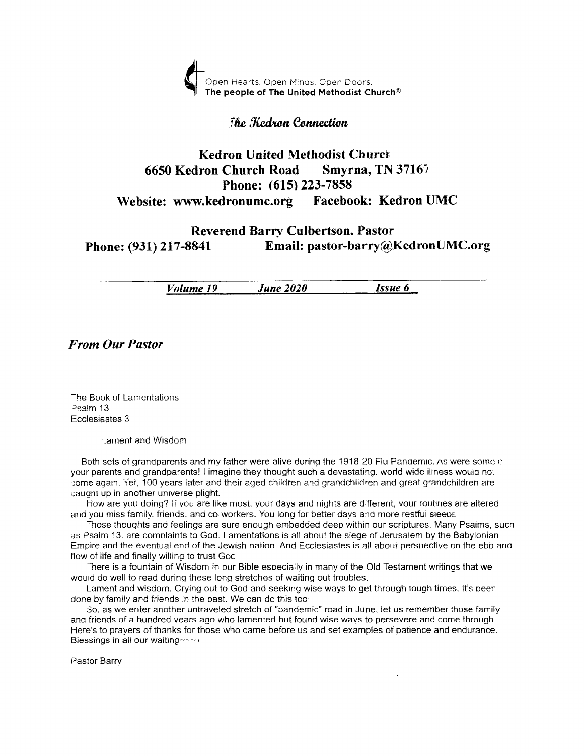

#### **The Kedron Connection**

# Kedron United Methodist Church 6650 Kedron Church Road Smyrna, TN 37167 Phone: (615) 223-7858 Website: www.kedronumc.org Facebook: Kedron UMC

## Reverend Barry Culbertson. Pastor Phone: (931) 217-8841 Email: pastor-barry@KedronUMC.org

Volume 19 June 2020 **Issue 6** 

From Our Pastor

-he Book of Lamentations  $2$ salm 13 Ecclesiastes 3

Lament and Wisdom

Both sets of grandparents and my father were alive during the 1918-20 Fiu Pandemic. As were some c your parents and grandparents! I imagine they thought such a devastating. world wide illness would no. come again. Yet, 100 years later and their aged children and grandchildren and great grandchildren are caugnt up in another universe plight.

Fiow are you doing? If you are like most, your days and nights are differeni, your rouiines are alierec. and you miss family, friends, and co-workers. You long for better days and more restful steeps

:hose thoughts and feelings are sure enough embedded deeo within our scripiures. Many Psalms, such as Psalm 13. are comolaints to God. Lamentations is all about the siege of Jerusalem by the Babylonian Empire and the eventual end of the Jewish nation. And Ecclesiastes is all about persoective on the ebb and flow of life and finally willing to trust Goc

fhere is a founiain of Wisdom in our Bible esoecially in many of the OId Testament writings that we would do well to read during these long stretches of waiting out troubles.

Lament and wisdom. Crying out to God and seeking wise ways to get through tough times. lt's been done by family and friends in the oast. We can do this too

So. as we enter another untraveled stretch of "pandemic" road in June. let us remember those family and friends of a hundred vears ago who lamented but found wise ways to persevere and come through. Here's to prayers of thanks for those who came before us and set examples of patience and endurance. Blessings in all our waiting----

Pastor Barrv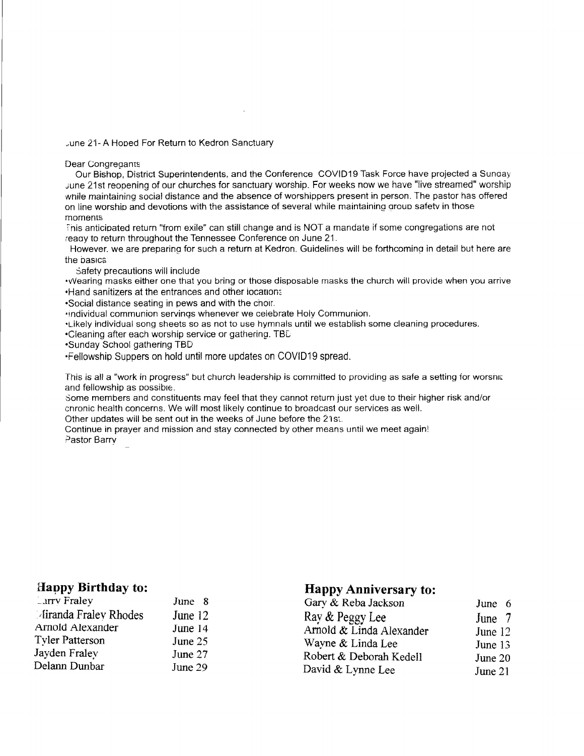#### June 21- A Hoped For Return to Kedron Sanctuary

Dear Congregants

Our Bishop, District Superintendents, and the Conference COVID19 Task Force have projected a Sunday ;une 21st reooening of our churches for sanctuary worship. For weeks now we have "live streamed" worship wnile maintaining social distance and the absence of worshippers preseni in person. The pastor has offered on line worshio and devotions with the assistance of several while maintaininq qrouo safetv in those moments

inis anticipated return "from exile" can still change and is NOT a mandate if some congregations are not reaoy to return ihroughout the Tennessee Conference on June 21.

However. we are preparing for such a return at Kedron. Guidelines will be forthcomino in detail but here are the basrcs

Safety precautions will include

.vVearing masks either one that you bring or those disposable masks the church will provide when you arrive .Hand sanitizers at the entrances and other iocatton'.

. Social distance seating in pews and with the choir.

.individual communion servinqs whenever we ceiebrate Hoiy Communion.

.t-ikely individual song sheets so as not to use hymnals until we establish some cleaning procedures.

.Cieaning after each worship service or gathering. TBL

.Sunday School gathering TBD

.Fellowship Suppers on hold until more updates on COV|Dl9 spread.

This is all a "work in progress" but church leadership is committed to providing as safe a setting for worsning and fellowship as oossibre.

Some members and constituents mav feel that they cannot return just yet due to their higher risk and/or cnronic health concerns. We will most likely continue to broadcast our services as weil.

Other uodates will be sent out in the weeks of June before the 21si.

Continue in prayer and mission and stay connected by other means until we meet againi Pasior Barrv

#### Happy Birthday to:

| <b>Larry Fraley</b>          | June 8  |
|------------------------------|---------|
| <b>Airanda Fraley Rhodes</b> | June 12 |
| Arnold Alexander             | June 14 |
| <b>Tyler Patterson</b>       | June 25 |
| Jayden Fraley                | June 27 |
| Delann Dunbar                | June 29 |

#### Happy Anniversary to:

| Gary & Reba Jackson      | June 6    |
|--------------------------|-----------|
| Ray & Peggy Lee          | June 7    |
| Arnold & Linda Alexander | June 12   |
| Wayne & Linda Lee        | June 13   |
| Robert & Deborah Kedell  | June 20   |
| David & Lynne Lee        | June $21$ |